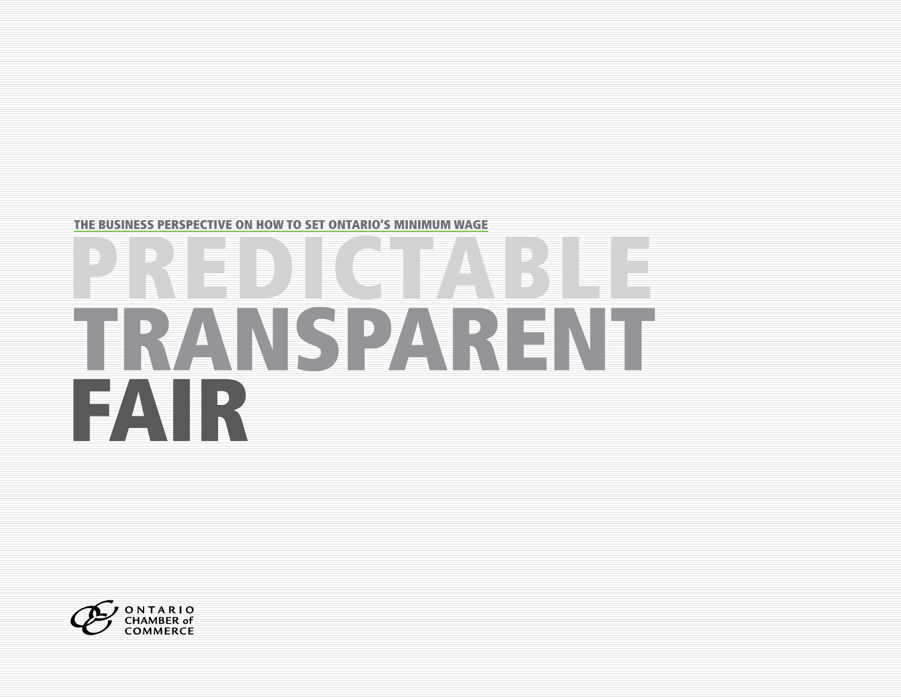

# RANSPARENT FAIR

THE BUSINESS PERSPECTIVE ON HOW TO SET ONTARIO'S MINIMUM WAGE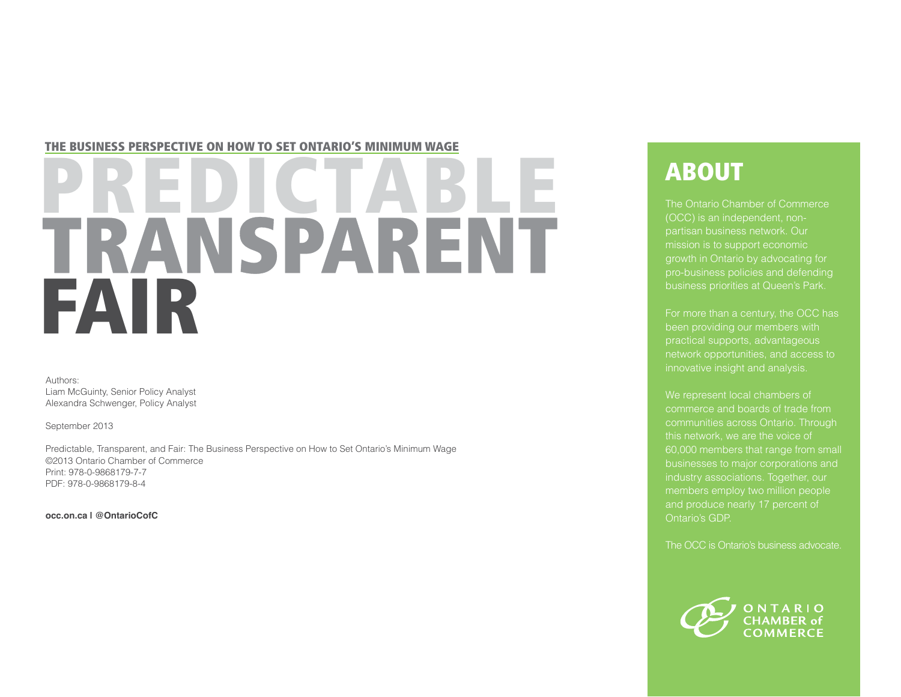#### THE BUSINESS PERSPECTIVE ON HOW TO SET ONTARIO'S MINIMUM WAGE

## **RANSPARENT** FAIR

Authors: Liam McGuinty, Senior Policy Analyst Alexandra Schwenger, Policy Analyst

September 2013

Predictable, Transparent, and Fair: The Business Perspective on How to Set Ontario's Minimum Wage ©2013 Ontario Chamber of Commerce Print: 978-0-9868179-7-7 PDF: 978-0-9868179-8-4

**occ.on.ca | @OntarioCofC**

## ABOUT

The Ontario Chamber of Commerce (OCC) is an independent, nonpartisan business network. Our mission is to support economic growth in Ontario by advocating for business priorities at Queen's Park.

For more than a century, the OCC has been providing our members with practical supports, advantageous network opportunities, and access to innovative insight and analysis.

We represent local chambers of commerce and boards of trade from communities across Ontario. Through this network, we are the voice of 60,000 members that range from small businesses to major corporations and members employ two million people Ontario's GDP.

The OCC is Ontario's business advocate.

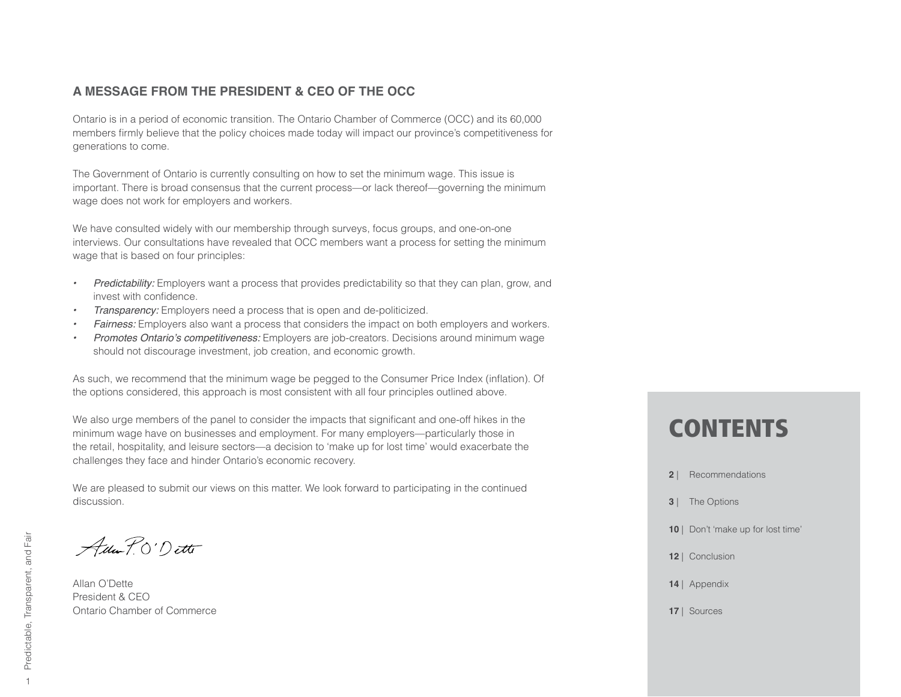#### **A MESSAGE FROM THE PRESIDENT & CEO OF THE OCC**

Ontario is in a period of economic transition. The Ontario Chamber of Commerce (OCC) and its 60,000 members firmly believe that the policy choices made today will impact our province's competitiveness for generations to come.

The Government of Ontario is currently consulting on how to set the minimum wage. This issue is important. There is broad consensus that the current process—or lack thereof—governing the minimum wage does not work for employers and workers.

We have consulted widely with our membership through surveys, focus groups, and one-on-one interviews. Our consultations have revealed that OCC members want a process for setting the minimum wage that is based on four principles:

- *Predictability:* Employers want a process that provides predictability so that they can plan, grow, and invest with confidence.
- *Transparency:* Employers need a process that is open and de-politicized.
- **Fairness:** Employers also want a process that considers the impact on both employers and workers.
- *Promotes Ontario's competitiveness: Employers are job-creators*. Decisions around minimum wage should not discourage investment, job creation, and economic growth.

As such, we recommend that the minimum wage be pegged to the Consumer Price Index (inflation). Of the options considered, this approach is most consistent with all four principles outlined above.

We also urge members of the panel to consider the impacts that significant and one-off hikes in the minimum wage have on businesses and employment. For many employers—particularly those in the retail, hospitality, and leisure sectors—a decision to 'make up for lost time' would exacerbate the challenges they face and hinder Ontario's economic recovery.

We are pleased to submit our views on this matter. We look forward to participating in the continued discussion.

Ada P.O'Dette

Allan O'Dette President & CEO Ontario Chamber of Commerce

## **CONTENTS**

- **2** | Recommendations
- **3** | The Options
- 10 | Don't 'make up for lost time'
- **12** | Conclusion
- **14** | Appendix
- **17** | Sources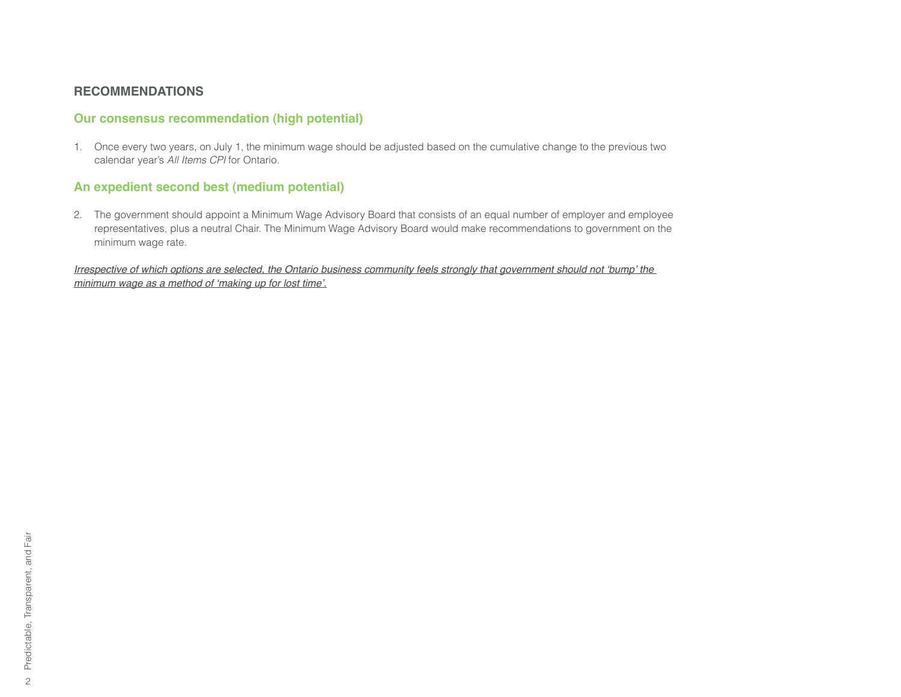#### **RECOMMENDATIONS**

#### **Our consensus recommendation (high potential)**

1. Once every two years, on July 1, the minimum wage should be adjusted based on the cumulative change to the previous two calendar year's All Items CPI for Ontario.

#### **An expedient second best (medium potential)**

2. The government should appoint a Minimum Wage Advisory Board that consists of an equal number of employer and employee representatives, plus a neutral Chair. The Minimum Wage Advisory Board would make recommendations to government on the minimum wage rate.

Irrespective of which options are selected, the Ontario business community feels strongly that government should not 'bump' the *<u><i>Phistogram-bagge as a method of 'making up for lost time'.*</u>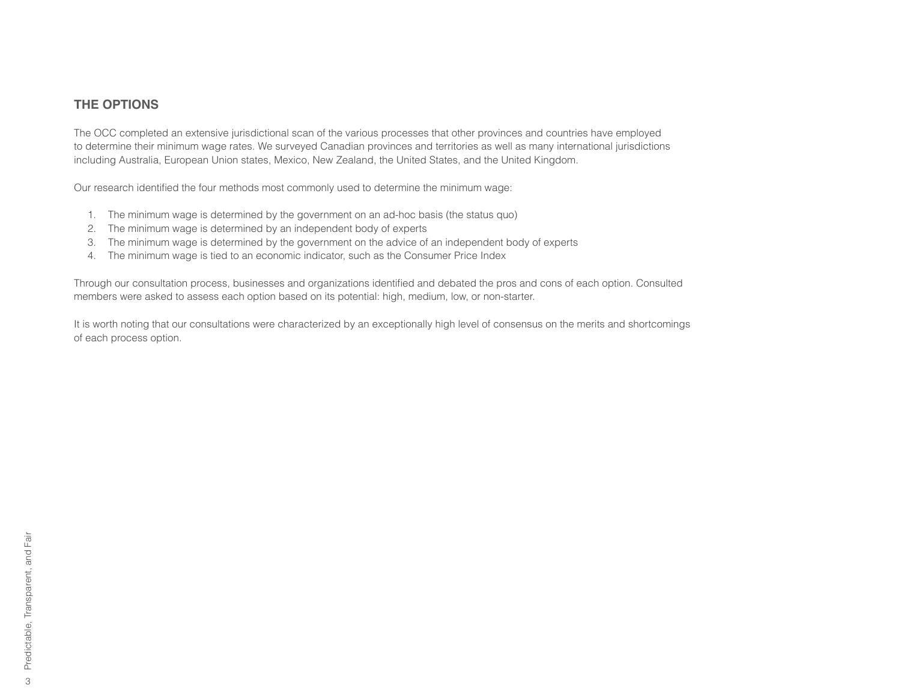#### **THE OPTIONS**

The OCC completed an extensive jurisdictional scan of the various processes that other provinces and countries have employed to determine their minimum wage rates. We surveyed Canadian provinces and territories as well as many international jurisdictions including Australia, European Union states, Mexico, New Zealand, the United States, and the United Kingdom.

Our research identified the four methods most commonly used to determine the minimum wage:

- 1. The minimum wage is determined by the government on an ad-hoc basis (the status quo)
- 2. The minimum wage is determined by an independent body of experts
- 3. The minimum wage is determined by the government on the advice of an independent body of experts
- 4. The minimum wage is tied to an economic indicator, such as the Consumer Price Index

Through our consultation process, businesses and organizations identified and debated the pros and cons of each option. Consulted members were asked to assess each option based on its potential: high, medium, low, or non-starter.

It is worth noting that our consultations were characterized by an exceptionally high level of consensus on the merits and shortcomings of each process option.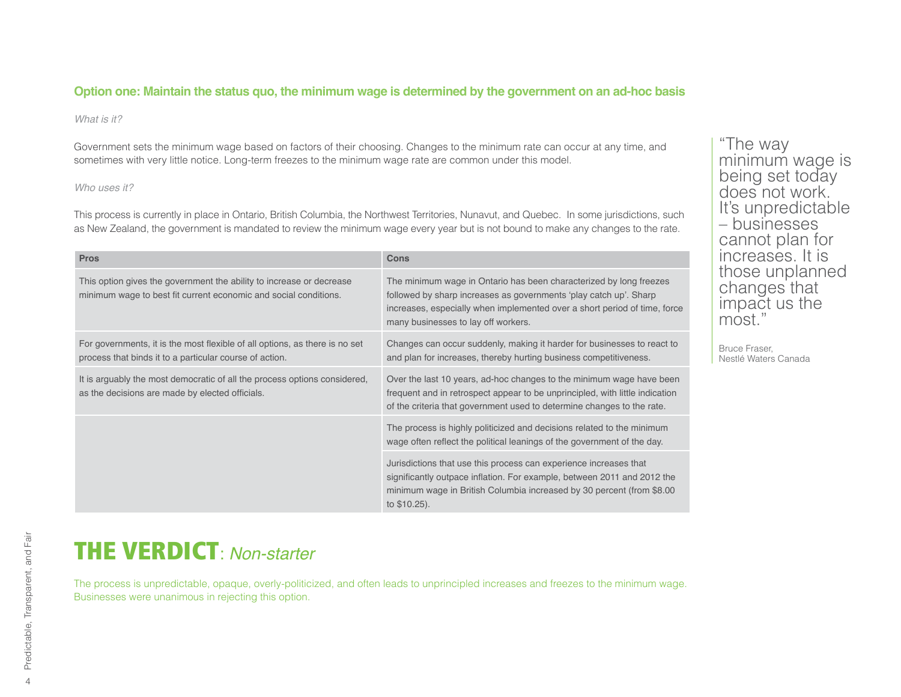#### **Option one: Maintain the status quo, the minimum wage is determined by the government on an ad-hoc basis**

#### *What is it?*

Government sets the minimum wage based on factors of their choosing. Changes to the minimum rate can occur at any time, and sometimes with very little notice. Long-term freezes to the minimum wage rate are common under this model.

#### *Who uses it?*

This process is currently in place in Ontario, British Columbia, the Northwest Territories, Nunavut, and Quebec. In some jurisdictions, such as New Zealand, the government is mandated to review the minimum wage every year but is not bound to make any changes to the rate.

| <b>Pros</b>                                                                                                                              | Cons                                                                                                                                                                                                                                                        |
|------------------------------------------------------------------------------------------------------------------------------------------|-------------------------------------------------------------------------------------------------------------------------------------------------------------------------------------------------------------------------------------------------------------|
| This option gives the government the ability to increase or decrease<br>minimum wage to best fit current economic and social conditions. | The minimum wage in Ontario has been characterized by long freezes<br>followed by sharp increases as governments 'play catch up'. Sharp<br>increases, especially when implemented over a short period of time, force<br>many businesses to lay off workers. |
| For governments, it is the most flexible of all options, as there is no set<br>process that binds it to a particular course of action.   | Changes can occur suddenly, making it harder for businesses to react to<br>and plan for increases, thereby hurting business competitiveness.                                                                                                                |
| It is arguably the most democratic of all the process options considered,<br>as the decisions are made by elected officials.             | Over the last 10 years, ad-hoc changes to the minimum wage have been<br>frequent and in retrospect appear to be unprincipled, with little indication<br>of the criteria that government used to determine changes to the rate.                              |
|                                                                                                                                          | The process is highly politicized and decisions related to the minimum<br>wage often reflect the political leanings of the government of the day.                                                                                                           |
|                                                                                                                                          | Jurisdictions that use this process can experience increases that<br>significantly outpace inflation. For example, between 2011 and 2012 the<br>minimum wage in British Columbia increased by 30 percent (from \$8.00<br>to \$10.25).                       |

"The way minimum wage is being set today does not work. It's unpredictable – businesses cannot plan for increases. It is those unplanned changes that impact us the most."

Bruce Fraser, Nestlé Waters Canada

## **THE VERDICT: Non-starter**

The process is unpredictable, opaque, overly-politicized, and often leads to unprincipled increases and freezes to the minimum wage. Businesses were unanimous in rejecting this option.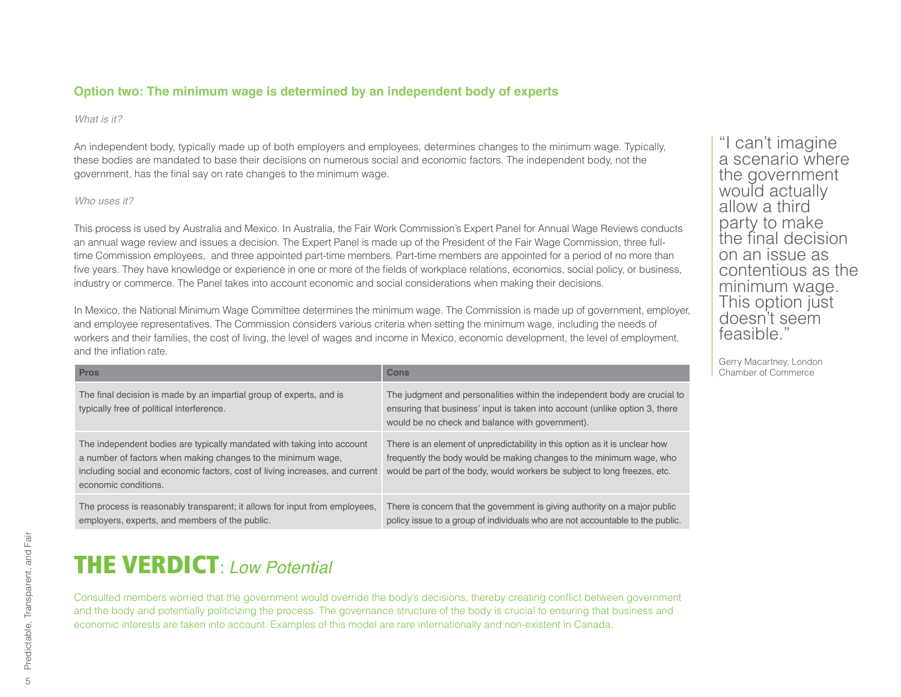#### **Option two: The minimum wage is determined by an independent body of experts**

#### *What is it?*

An independent body, typically made up of both employers and employees, determines changes to the minimum wage. Typically, these bodies are mandated to base their decisions on numerous social and economic factors. The independent body, not the government, has the final say on rate changes to the minimum wage.

#### *Who uses it?*

This process is used by Australia and Mexico. In Australia, the Fair Work Commission's Expert Panel for Annual Wage Reviews conducts an annual wage review and issues a decision. The Expert Panel is made up of the President of the Fair Wage Commission, three fulltime Commission employees, and three appointed part-time members. Part-time members are appointed for a period of no more than five years. They have knowledge or experience in one or more of the fields of workplace relations, economics, social policy, or business, industry or commerce. The Panel takes into account economic and social considerations when making their decisions.

In Mexico, the National Minimum Wage Committee determines the minimum wage. The Commission is made up of government, employer, and employee representatives. The Commission considers various criteria when setting the minimum wage, including the needs of workers and their families, the cost of living, the level of wages and income in Mexico, economic development, the level of employment, and the inflation rate.

| <b>Pros</b>                                                                                                                                                                                                                                    | Cons                                                                                                                                                                                                                             | Gerry ividual they, Lunu<br>Chamber of Commerce |
|------------------------------------------------------------------------------------------------------------------------------------------------------------------------------------------------------------------------------------------------|----------------------------------------------------------------------------------------------------------------------------------------------------------------------------------------------------------------------------------|-------------------------------------------------|
| The final decision is made by an impartial group of experts, and is<br>typically free of political interference.                                                                                                                               | The judgment and personalities within the independent body are crucial to<br>ensuring that business' input is taken into account (unlike option 3, there<br>would be no check and balance with government).                      |                                                 |
| The independent bodies are typically mandated with taking into account<br>a number of factors when making changes to the minimum wage,<br>including social and economic factors, cost of living increases, and current<br>economic conditions. | There is an element of unpredictability in this option as it is unclear how<br>frequently the body would be making changes to the minimum wage, who<br>would be part of the body, would workers be subject to long freezes, etc. |                                                 |
| The process is reasonably transparent; it allows for input from employees,<br>employers, experts, and members of the public.                                                                                                                   | There is concern that the government is giving authority on a major public<br>policy issue to a group of individuals who are not accountable to the public.                                                                      |                                                 |

"I can't imagine a scenario where the government would actually allow a third party to make the final decision on an issue as contentious as the minimum wage. This option just doesn't seem feasible."

Gerry Macartney, London<br>Chamber of Commerce

## **THE VERDICT: Low Potential**

Consulted members worried that the government would override the body's decisions, thereby creating conflict between government and the body and potentially politicizing the process. The governance structure of the body is crucial to ensuring that business and economic interests are taken into account. Examples of this model are rare internationally and non-existent in Canada.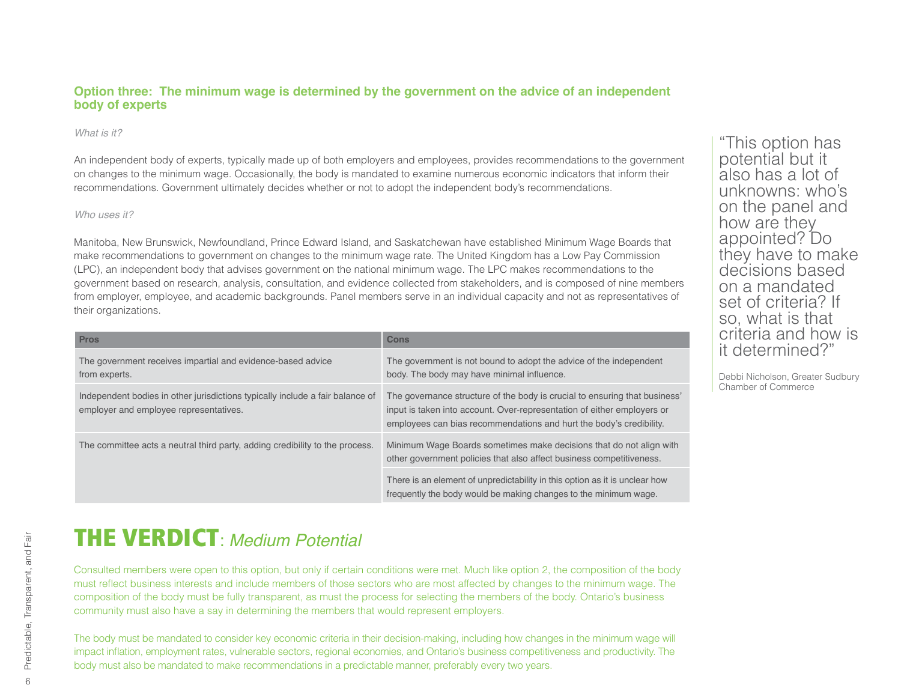#### **Option three: The minimum wage is determined by the government on the advice of an independent body of experts**

#### *What is it?*

An independent body of experts, typically made up of both employers and employees, provides recommendations to the government on changes to the minimum wage. Occasionally, the body is mandated to examine numerous economic indicators that inform their recommendations. Government ultimately decides whether or not to adopt the independent body's recommendations.

#### *Who uses it?*

Manitoba, New Brunswick, Newfoundland, Prince Edward Island, and Saskatchewan have established Minimum Wage Boards that make recommendations to government on changes to the minimum wage rate. The United Kingdom has a Low Pay Commission (LPC), an independent body that advises government on the national minimum wage. The LPC makes recommendations to the government based on research, analysis, consultation, and evidence collected from stakeholders, and is composed of nine members from employer, employee, and academic backgrounds. Panel members serve in an individual capacity and not as representatives of their organizations.

| <b>Pros</b>                                                                                                             | Cons                                                                                                                                                                                                                         |
|-------------------------------------------------------------------------------------------------------------------------|------------------------------------------------------------------------------------------------------------------------------------------------------------------------------------------------------------------------------|
| The government receives impartial and evidence-based advice<br>from experts.                                            | The government is not bound to adopt the advice of the independent<br>body. The body may have minimal influence.                                                                                                             |
| Independent bodies in other jurisdictions typically include a fair balance of<br>employer and employee representatives. | The governance structure of the body is crucial to ensuring that business'<br>input is taken into account. Over-representation of either employers or<br>employees can bias recommendations and hurt the body's credibility. |
| The committee acts a neutral third party, adding credibility to the process.                                            | Minimum Wage Boards sometimes make decisions that do not align with<br>other government policies that also affect business competitiveness.                                                                                  |
|                                                                                                                         | There is an element of unpredictability in this option as it is unclear how<br>frequently the body would be making changes to the minimum wage.                                                                              |

**THE VERDICT** *Medium Potential* 

Consulted members were open to this option, but only if certain conditions were met. Much like option 2, the composition of the body must reflect business interests and include members of those sectors who are most affected by changes to the minimum wage. The composition of the body must be fully transparent, as must the process for selecting the members of the body. Ontario's business community must also have a say in determining the members that would represent employers.

The body must be mandated to consider key economic criteria in their decision-making, including how changes in the minimum wage will impact inflation, employment rates, vulnerable sectors, regional economies, and Ontario's business competitiveness and productivity. The body must also be mandated to make recommendations in a predictable manner, preferably every two years.

"This option has potential but it also has a lot of unknowns: who's on the panel and how are they appointed? Do they have to make decisions based on a mandated set of criteria? If so, what is that criteria and how is it determined?"

Debbi Nicholson, Greater Sudbury Chamber of Commerce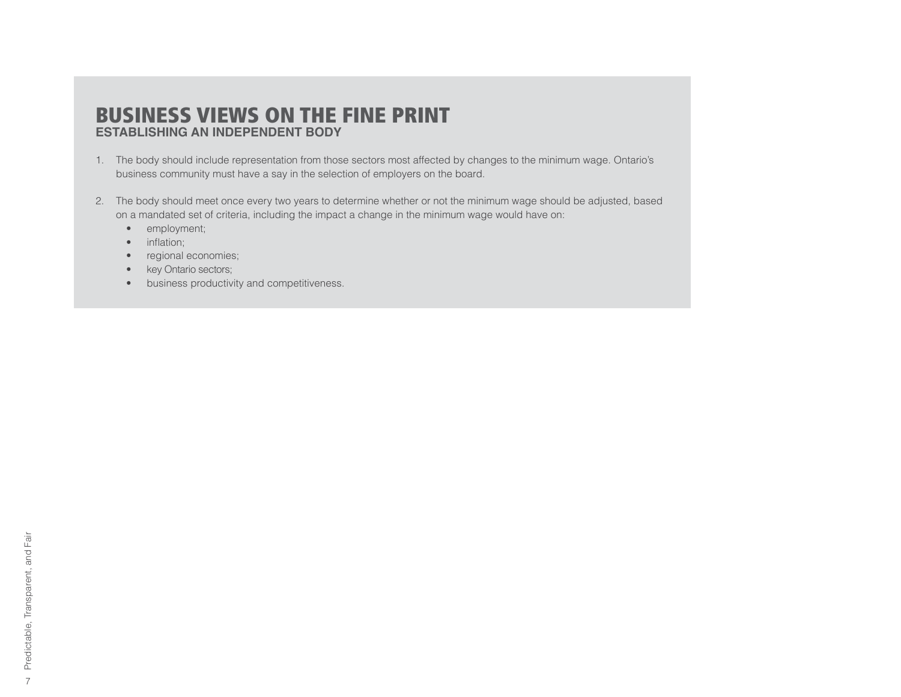#### BUSINESS VIEWS ON THE FINE PRINT **ESTABLISHING AN INDEPENDENT BODY**

- 1. The body should include representation from those sectors most affected by changes to the minimum wage. Ontario's business community must have a say in the selection of employers on the board.
- 2. The body should meet once every two years to determine whether or not the minimum wage should be adjusted, based on a mandated set of criteria, including the impact a change in the minimum wage would have on:
	- employment;
	- $\bullet$  inflation;
	- regional economies;
	- key Ontario sectors;
	- business productivity and competitiveness.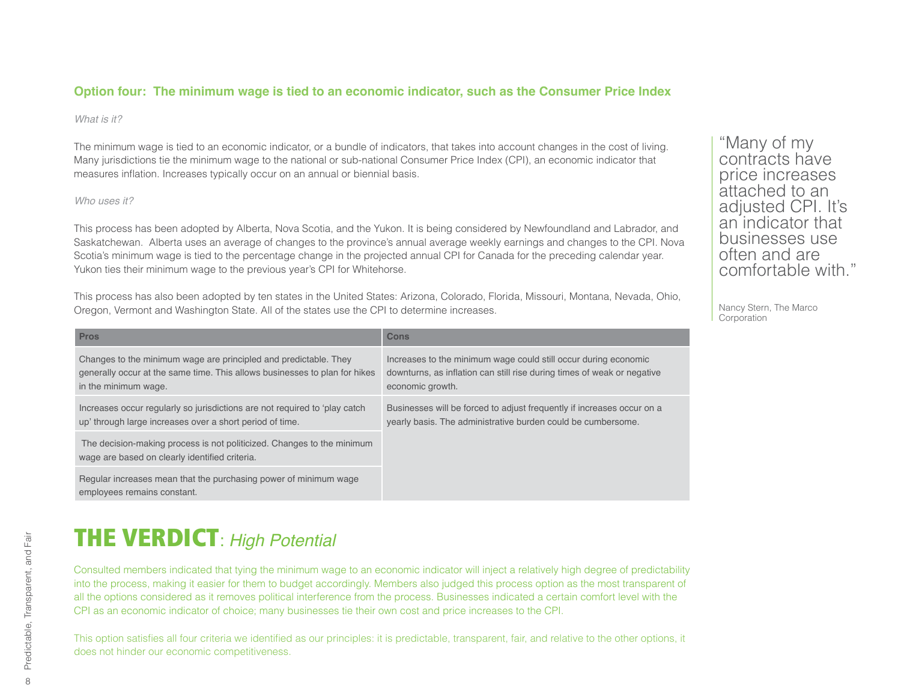#### **Option four: The minimum wage is tied to an economic indicator, such as the Consumer Price Index**

#### *What is it?*

The minimum wage is tied to an economic indicator, or a bundle of indicators, that takes into account changes in the cost of living. Many jurisdictions tie the minimum wage to the national or sub-national Consumer Price Index (CPI), an economic indicator that measures inflation. Increases typically occur on an annual or biennial basis.

#### *Who uses it?*

This process has been adopted by Alberta, Nova Scotia, and the Yukon. It is being considered by Newfoundland and Labrador, and Saskatchewan. Alberta uses an average of changes to the province's annual average weekly earnings and changes to the CPI. Nova Scotia's minimum wage is tied to the percentage change in the projected annual CPI for Canada for the preceding calendar year. Yukon ties their minimum wage to the previous year's CPI for Whitehorse.

This process has also been adopted by ten states in the United States: Arizona, Colorado, Florida, Missouri, Montana, Nevada, Ohio, Oregon, Vermont and Washington State. All of the states use the CPI to determine increases.

| <b>Pros</b>                                                                                                                                                            | Cons                                                                                                                                                           |
|------------------------------------------------------------------------------------------------------------------------------------------------------------------------|----------------------------------------------------------------------------------------------------------------------------------------------------------------|
| Changes to the minimum wage are principled and predictable. They<br>generally occur at the same time. This allows businesses to plan for hikes<br>in the minimum wage. | Increases to the minimum wage could still occur during economic<br>downturns, as inflation can still rise during times of weak or negative<br>economic growth. |
| Increases occur regularly so jurisdictions are not required to 'play catch<br>up' through large increases over a short period of time.                                 | Businesses will be forced to adjust frequently if increases occur on a<br>yearly basis. The administrative burden could be cumbersome.                         |
| The decision-making process is not politicized. Changes to the minimum<br>wage are based on clearly identified criteria.                                               |                                                                                                                                                                |
| Regular increases mean that the purchasing power of minimum wage<br>employees remains constant.                                                                        |                                                                                                                                                                |

**THE VERDICT: High Potential** 

Consulted members indicated that tying the minimum wage to an economic indicator will inject a relatively high degree of predictability into the process, making it easier for them to budget accordingly. Members also judged this process option as the most transparent of all the options considered as it removes political interference from the process. Businesses indicated a certain comfort level with the CPI as an economic indicator of choice; many businesses tie their own cost and price increases to the CPI.

This option satisfies all four criteria we identified as our principles: it is predictable, transparent, fair, and relative to the other options, it does not hinder our economic competitiveness.

"Many of my contracts have price increases attached to an adjusted CPI. It's an indicator that businesses use often and are comfortable with."

Nancy Stern, The Marco **Corporation**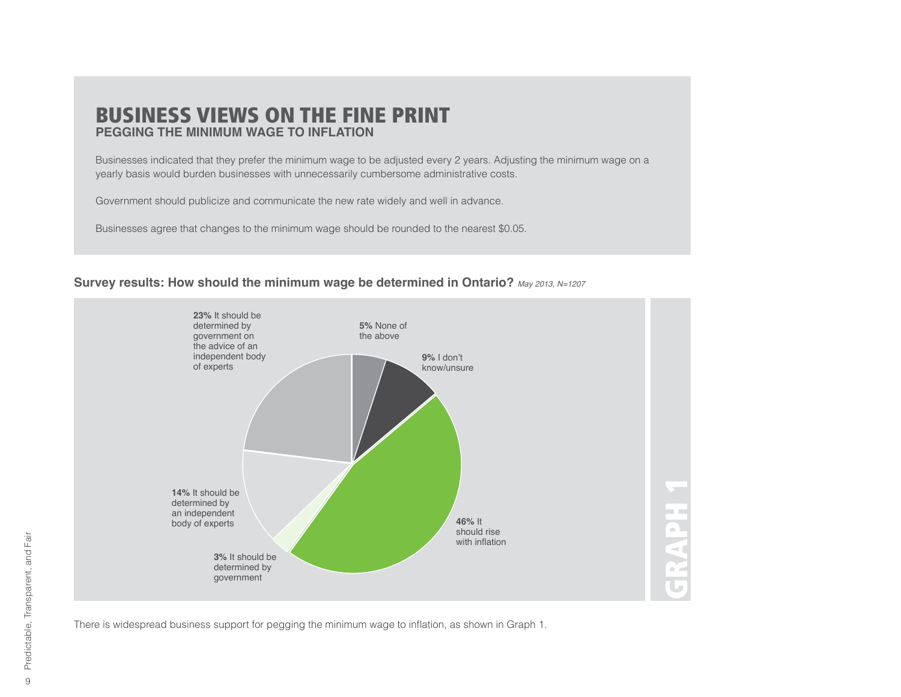#### BUSINESS VIEWS ON THE FINE PRINT **PEGGING THE MINIMUM WAGE TO INFLATION**

Businesses indicated that they prefer the minimum wage to be adjusted every 2 years. Adjusting the minimum wage on a yearly basis would burden businesses with unnecessarily cumbersome administrative costs.

Government should publicize and communicate the new rate widely and well in advance.

Businesses agree that changes to the minimum wage should be rounded to the nearest \$0.05.

#### Survey results: How should the minimum wage be determined in Ontario? May 2013, N=1207



There is widespread business support for pegging the minimum wage to inflation, as shown in Graph 1.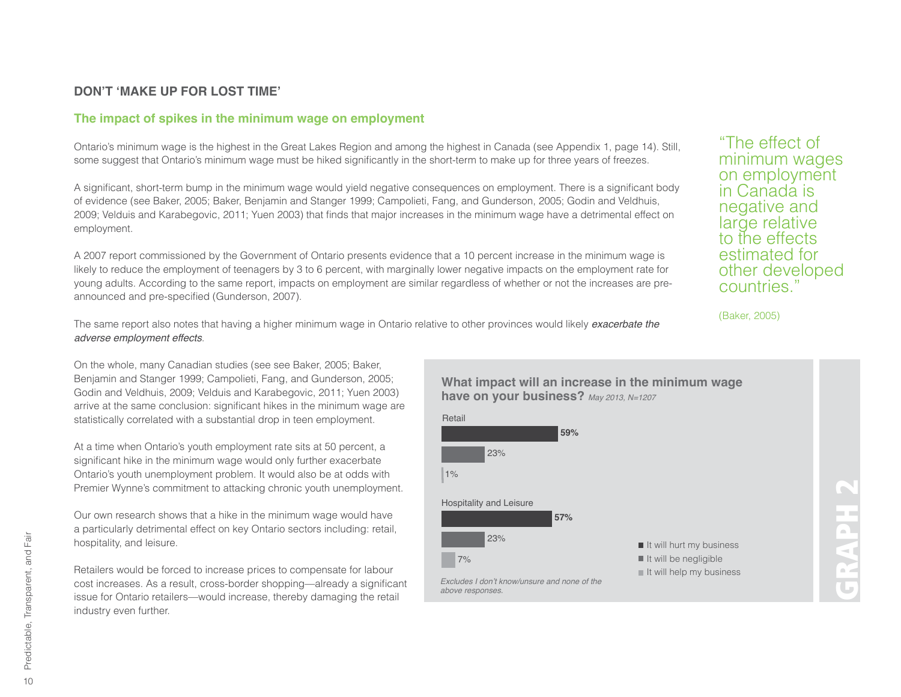#### **DON'T 'MAKE UP FOR LOST TIME'**

#### **The impact of spikes in the minimum wage on employment**

Ontario's minimum wage is the highest in the Great Lakes Region and among the highest in Canada (see Appendix 1, page 14). Still, some suggest that Ontario's minimum wage must be hiked significantly in the short-term to make up for three years of freezes.

A significant, short-term bump in the minimum wage would yield negative consequences on employment. There is a significant body of evidence (see Baker, 2005; Baker, Benjamin and Stanger 1999; Campolieti, Fang, and Gunderson, 2005; Godin and Veldhuis, 2009; Velduis and Karabegovic, 2011; Yuen 2003) that finds that major increases in the minimum wage have a detrimental effect on employment.

A 2007 report commissioned by the Government of Ontario presents evidence that a 10 percent increase in the minimum wage is likely to reduce the employment of teenagers by 3 to 6 percent, with marginally lower negative impacts on the employment rate for young adults. According to the same report, impacts on employment are similar regardless of whether or not the increases are preannounced and pre-specified (Gunderson, 2007).

The same report also notes that having a higher minimum wage in Ontario relative to other provinces would likely *exacerbate the*  $adverse$  *employment effects*.

On the whole, many Canadian studies (see see Baker, 2005; Baker, Benjamin and Stanger 1999; Campolieti, Fang, and Gunderson, 2005; Godin and Veldhuis, 2009; Velduis and Karabegovic, 2011; Yuen 2003) arrive at the same conclusion: significant hikes in the minimum wage are statistically correlated with a substantial drop in teen employment.

At a time when Ontario's youth employment rate sits at 50 percent, a significant hike in the minimum wage would only further exacerbate Ontario's youth unemployment problem. It would also be at odds with Premier Wynne's commitment to attacking chronic youth unemployment.

Our own research shows that a hike in the minimum wage would have a particularly detrimental effect on key Ontario sectors including: retail, hospitality, and leisure.

Retailers would be forced to increase prices to compensate for labour cost increases. As a result, cross-border shopping—already a significant issue for Ontario retailers—would increase, thereby damaging the retail industry even further.

"The effect of minimum wages on employment in Canada is negative and large relative to the effects estimated for other developed countries."

(Baker, 2005)

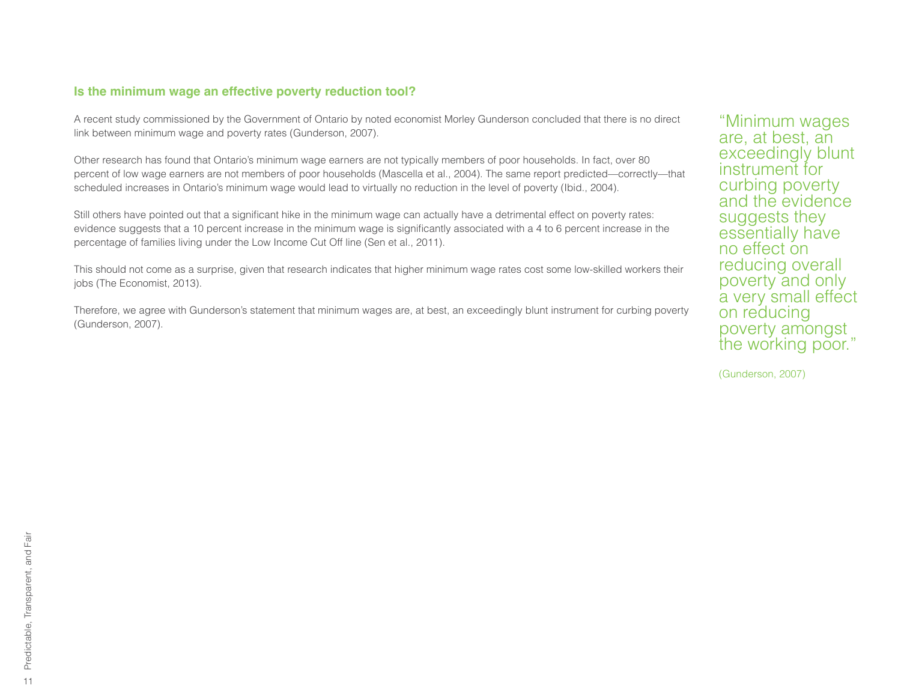#### **Is the minimum wage an effective poverty reduction tool?**

A recent study commissioned by the Government of Ontario by noted economist Morley Gunderson concluded that there is no direct link between minimum wage and poverty rates (Gunderson, 2007).

Other research has found that Ontario's minimum wage earners are not typically members of poor households. In fact, over 80 percent of low wage earners are not members of poor households (Mascella et al., 2004). The same report predicted—correctly—that scheduled increases in Ontario's minimum wage would lead to virtually no reduction in the level of poverty (Ibid., 2004).

Still others have pointed out that a significant hike in the minimum wage can actually have a detrimental effect on poverty rates: evidence suggests that a 10 percent increase in the minimum wage is significantly associated with a 4 to 6 percent increase in the percentage of families living under the Low Income Cut Off line (Sen et al., 2011).

This should not come as a surprise, given that research indicates that higher minimum wage rates cost some low-skilled workers their jobs (The Economist, 2013).

Therefore, we agree with Gunderson's statement that minimum wages are, at best, an exceedingly blunt instrument for curbing poverty (Gunderson, 2007).

"Minimum wages are, at best, an exceedingly blunt instrument for curbing poverty and the evidence suggests they essentially have no effect on reducing overall poverty and only a very small effect on reducing poverty amongst the working poor."

(Gunderson, 2007)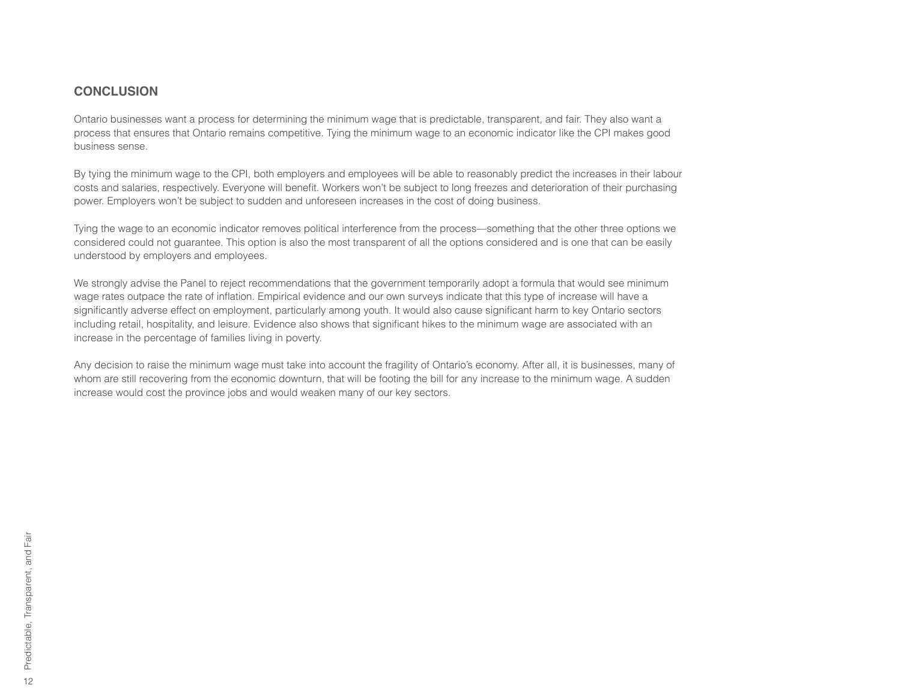#### **CONCLUSION**

Ontario businesses want a process for determining the minimum wage that is predictable, transparent, and fair. They also want a process that ensures that Ontario remains competitive. Tying the minimum wage to an economic indicator like the CPI makes good business sense.

By tying the minimum wage to the CPI, both employers and employees will be able to reasonably predict the increases in their labour costs and salaries, respectively. Everyone will benefit. Workers won't be subject to long freezes and deterioration of their purchasing power. Employers won't be subject to sudden and unforeseen increases in the cost of doing business.

Tying the wage to an economic indicator removes political interference from the process—something that the other three options we considered could not guarantee. This option is also the most transparent of all the options considered and is one that can be easily understood by employers and employees.

We strongly advise the Panel to reject recommendations that the government temporarily adopt a formula that would see minimum wage rates outpace the rate of inflation. Empirical evidence and our own surveys indicate that this type of increase will have a significantly adverse effect on employment, particularly among youth. It would also cause significant harm to key Ontario sectors including retail, hospitality, and leisure. Evidence also shows that significant hikes to the minimum wage are associated with an increase in the percentage of families living in poverty.

Any decision to raise the minimum wage must take into account the fragility of Ontario's economy. After all, it is businesses, many of whom are still recovering from the economic downturn, that will be footing the bill for any increase to the minimum wage. A sudden increase would cost the province jobs and would weaken many of our key sectors.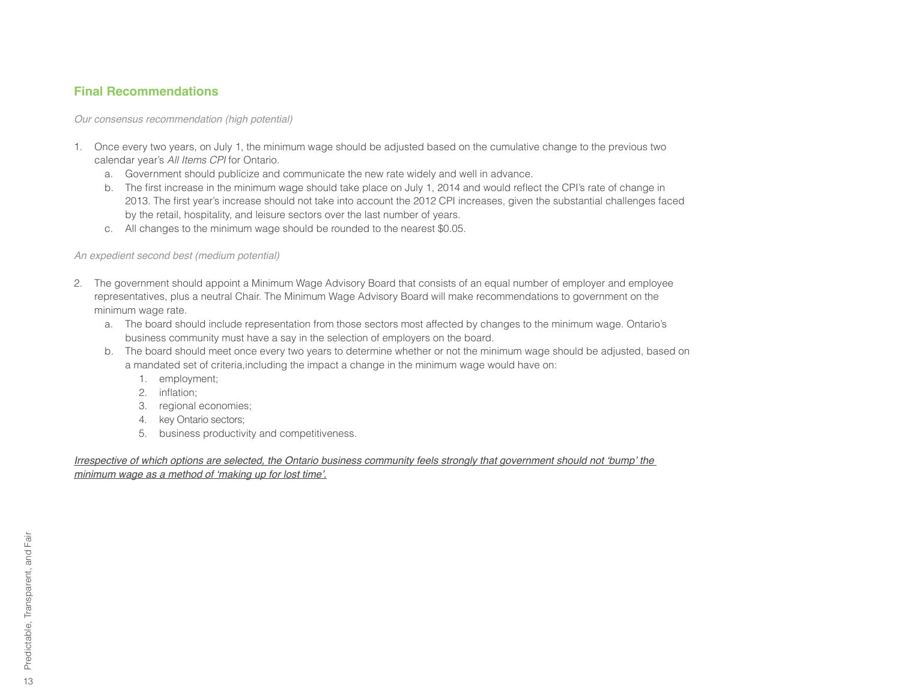#### **Final Recommendations**

*<i>Our consensus recommendation (high potential)* 

- 1. Once every two years, on July 1, the minimum wage should be adjusted based on the cumulative change to the previous two calendar year's All Items CPI for Ontario.
	- a. Government should publicize and communicate the new rate widely and well in advance.
	- b. The first increase in the minimum wage should take place on July 1, 2014 and would reflect the CPI's rate of change in 2013. The first year's increase should not take into account the 2012 CPI increases, given the substantial challenges faced by the retail, hospitality, and leisure sectors over the last number of years.
	- c. All changes to the minimum wage should be rounded to the nearest \$0.05.

#### *An expedient second best (medium potential)*

- 2. The government should appoint a Minimum Wage Advisory Board that consists of an equal number of employer and employee representatives, plus a neutral Chair. The Minimum Wage Advisory Board will make recommendations to government on the minimum wage rate.
	- a. The board should include representation from those sectors most affected by changes to the minimum wage. Ontario's business community must have a say in the selection of employers on the board.
	- b. The board should meet once every two years to determine whether or not the minimum wage should be adjusted, based on a mandated set of criteria,including the impact a change in the minimum wage would have on:
		- 1. employment;
		- 2. inflation;
		- 3. regional economies;
		- 4. key Ontario sectors;
		- 5. business productivity and competitiveness.

Irrespective of which options are selected, the Ontario business community feels strongly that government should not 'bump' the *<u><i>Phinimum wage as a method of 'making up for lost time'.*</u>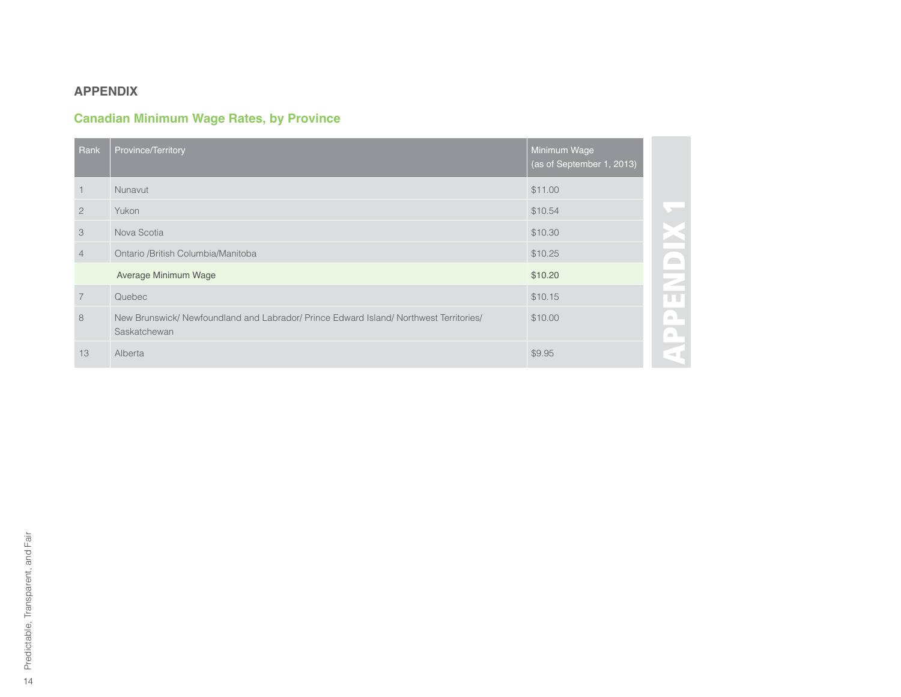#### **APPENDIX**

#### **Canadian Minimum Wage Rates, by Province**

| Rank           | Province/Territory                                                                                     | Minimum Wage<br>(as of September 1, 2013) |
|----------------|--------------------------------------------------------------------------------------------------------|-------------------------------------------|
| $\overline{1}$ | Nunavut                                                                                                | \$11.00                                   |
| $\overline{2}$ | Yukon                                                                                                  | \$10.54                                   |
| 3              | Nova Scotia                                                                                            | \$10.30                                   |
| $\overline{4}$ | Ontario /British Columbia/Manitoba                                                                     | \$10.25                                   |
|                | Average Minimum Wage                                                                                   | \$10.20                                   |
| $\overline{7}$ | Quebec                                                                                                 | \$10.15                                   |
| 8              | New Brunswick/ Newfoundland and Labrador/ Prince Edward Island/ Northwest Territories/<br>Saskatchewan | \$10.00                                   |
| 13             | Alberta                                                                                                | \$9.95                                    |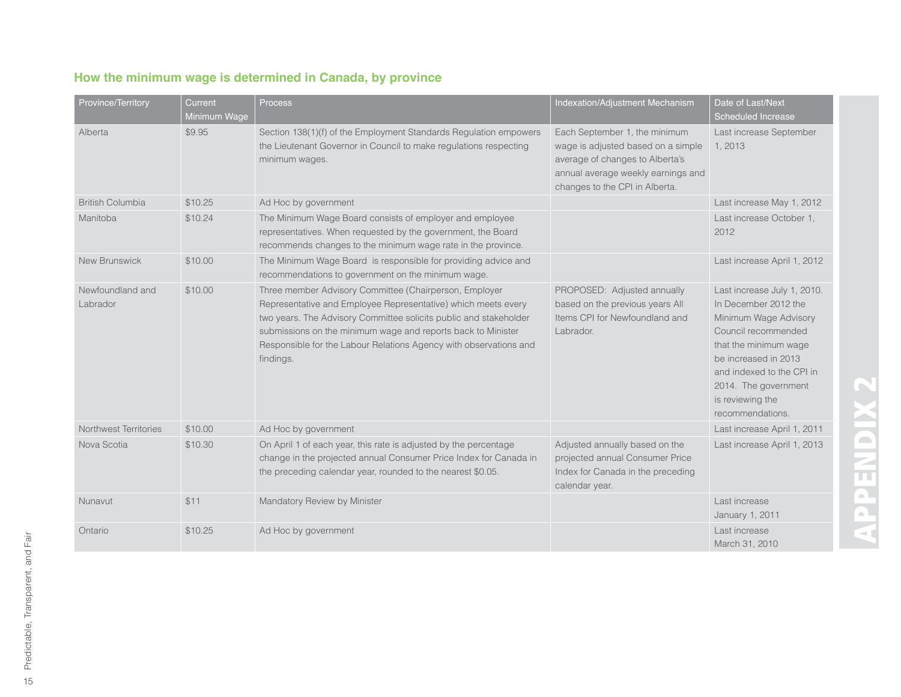| How the minimum wage is determined in Canada, by province |  |
|-----------------------------------------------------------|--|
|-----------------------------------------------------------|--|

| <b>Province/Territory</b>    | Current<br>Minimum Wage | Process                                                                                                                                                                                                                                                                                                                                        | Indexation/Adjustment Mechanism                                                                                                                                                | Date of Last/Next<br>Scheduled Increase                                                                                                                                                                                                           |
|------------------------------|-------------------------|------------------------------------------------------------------------------------------------------------------------------------------------------------------------------------------------------------------------------------------------------------------------------------------------------------------------------------------------|--------------------------------------------------------------------------------------------------------------------------------------------------------------------------------|---------------------------------------------------------------------------------------------------------------------------------------------------------------------------------------------------------------------------------------------------|
| Alberta                      | \$9.95                  | Section 138(1)(f) of the Employment Standards Regulation empowers<br>the Lieutenant Governor in Council to make regulations respecting<br>minimum wages.                                                                                                                                                                                       | Each September 1, the minimum<br>wage is adjusted based on a simple<br>average of changes to Alberta's<br>annual average weekly earnings and<br>changes to the CPI in Alberta. | Last increase September<br>1, 2013                                                                                                                                                                                                                |
| <b>British Columbia</b>      | \$10.25                 | Ad Hoc by government                                                                                                                                                                                                                                                                                                                           |                                                                                                                                                                                | Last increase May 1, 2012                                                                                                                                                                                                                         |
| Manitoba                     | \$10.24                 | The Minimum Wage Board consists of employer and employee<br>representatives. When requested by the government, the Board<br>recommends changes to the minimum wage rate in the province.                                                                                                                                                       |                                                                                                                                                                                | Last increase October 1.<br>2012                                                                                                                                                                                                                  |
| New Brunswick                | \$10.00                 | The Minimum Wage Board is responsible for providing advice and<br>recommendations to government on the minimum wage.                                                                                                                                                                                                                           |                                                                                                                                                                                | Last increase April 1, 2012                                                                                                                                                                                                                       |
| Newfoundland and<br>Labrador | \$10.00                 | Three member Advisory Committee (Chairperson, Employer<br>Representative and Employee Representative) which meets every<br>two years. The Advisory Committee solicits public and stakeholder<br>submissions on the minimum wage and reports back to Minister<br>Responsible for the Labour Relations Agency with observations and<br>findings. | PROPOSED: Adjusted annually<br>based on the previous years All<br>Items CPI for Newfoundland and<br>Labrador.                                                                  | Last increase July 1, 2010.<br>In December 2012 the<br>Minimum Wage Advisory<br>Council recommended<br>that the minimum wage<br>be increased in 2013<br>and indexed to the CPI in<br>2014. The government<br>is reviewing the<br>recommendations. |
| Northwest Territories        | \$10.00                 | Ad Hoc by government                                                                                                                                                                                                                                                                                                                           |                                                                                                                                                                                | Last increase April 1, 2011                                                                                                                                                                                                                       |
| Nova Scotia                  | \$10.30                 | On April 1 of each year, this rate is adjusted by the percentage<br>change in the projected annual Consumer Price Index for Canada in<br>the preceding calendar year, rounded to the nearest \$0.05.                                                                                                                                           | Adjusted annually based on the<br>projected annual Consumer Price<br>Index for Canada in the preceding<br>calendar year.                                                       | Last increase April 1, 2013                                                                                                                                                                                                                       |
| Nunavut                      | \$11                    | Mandatory Review by Minister                                                                                                                                                                                                                                                                                                                   |                                                                                                                                                                                | Last increase<br>January 1, 2011                                                                                                                                                                                                                  |
| Ontario                      | \$10.25                 | Ad Hoc by government                                                                                                                                                                                                                                                                                                                           |                                                                                                                                                                                | Last increase<br>March 31, 2010                                                                                                                                                                                                                   |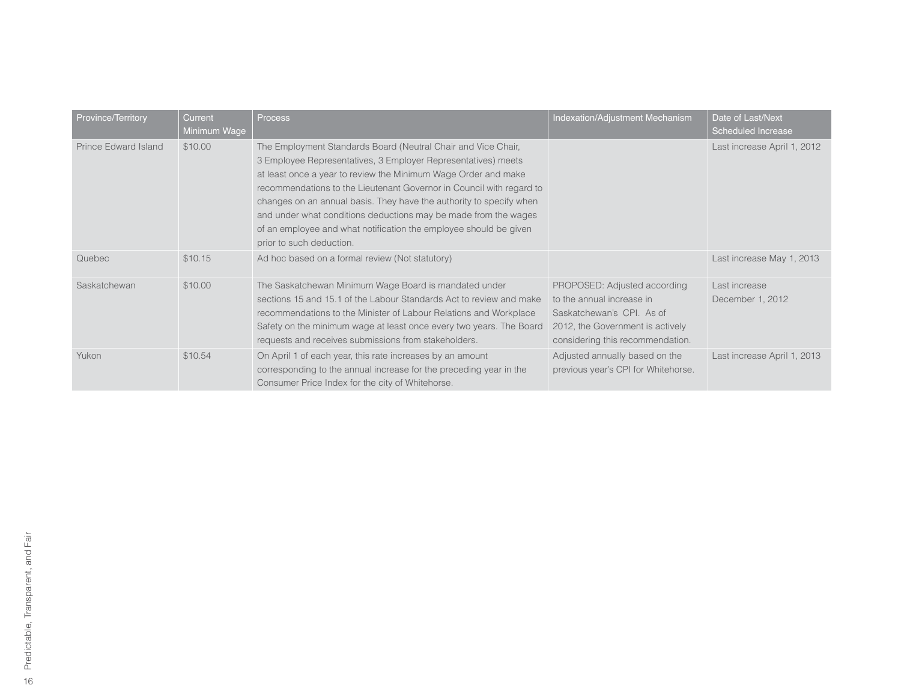| Province/Territory   | Current<br>Minimum Wage | <b>Process</b>                                                                                                                                                                                                                                                                                                                                                                                                                                                                                                      | Indexation/Adjustment Mechanism                                                                                                                                | Date of Last/Next<br>Scheduled Increase |
|----------------------|-------------------------|---------------------------------------------------------------------------------------------------------------------------------------------------------------------------------------------------------------------------------------------------------------------------------------------------------------------------------------------------------------------------------------------------------------------------------------------------------------------------------------------------------------------|----------------------------------------------------------------------------------------------------------------------------------------------------------------|-----------------------------------------|
| Prince Edward Island | \$10.00                 | The Employment Standards Board (Neutral Chair and Vice Chair,<br>3 Employee Representatives, 3 Employer Representatives) meets<br>at least once a year to review the Minimum Wage Order and make<br>recommendations to the Lieutenant Governor in Council with regard to<br>changes on an annual basis. They have the authority to specify when<br>and under what conditions deductions may be made from the wages<br>of an employee and what notification the employee should be given<br>prior to such deduction. |                                                                                                                                                                | Last increase April 1, 2012             |
| Quebec               | \$10.15                 | Ad hoc based on a formal review (Not statutory)                                                                                                                                                                                                                                                                                                                                                                                                                                                                     |                                                                                                                                                                | Last increase May 1, 2013               |
| Saskatchewan         | \$10.00                 | The Saskatchewan Minimum Wage Board is mandated under<br>sections 15 and 15.1 of the Labour Standards Act to review and make<br>recommendations to the Minister of Labour Relations and Workplace<br>Safety on the minimum wage at least once every two years. The Board<br>requests and receives submissions from stakeholders.                                                                                                                                                                                    | PROPOSED: Adjusted according<br>to the annual increase in<br>Saskatchewan's CPI. As of<br>2012, the Government is actively<br>considering this recommendation. | Last increase<br>December 1, 2012       |
| Yukon                | \$10.54                 | On April 1 of each year, this rate increases by an amount<br>corresponding to the annual increase for the preceding year in the<br>Consumer Price Index for the city of Whitehorse.                                                                                                                                                                                                                                                                                                                                 | Adjusted annually based on the<br>previous year's CPI for Whitehorse.                                                                                          | Last increase April 1, 2013             |